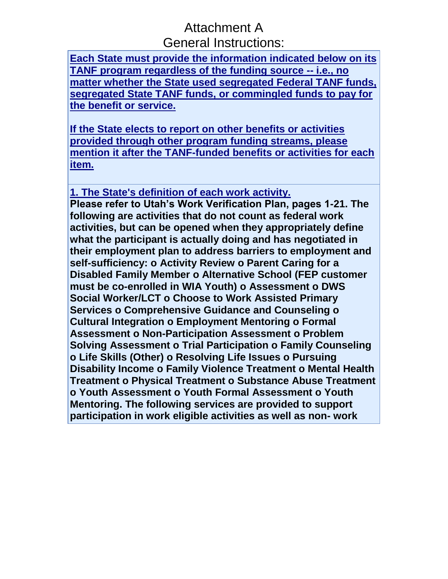## Attachment A General Instructions:

**[Each State must provide the information indicated below on its](javascript:alert()  [TANF program regardless of the funding source --](javascript:alert() i.e., no [matter whether the State used segregated Federal TANF funds,](javascript:alert()  [segregated State TANF funds, or commingled funds to pay for](javascript:alert()  [the benefit or service.](javascript:alert()**

**[If the State elects to report on other benefits or activities](javascript:alert()  [provided through other program funding streams, please](javascript:alert()  [mention it after the TANF-funded benefits or activities for each](javascript:alert()  [item.](javascript:alert()**

**[1. The State's definition of each work activity.](javascript:alert()**

**Please refer to Utah's Work Verification Plan, pages 1-21. The following are activities that do not count as federal work activities, but can be opened when they appropriately define what the participant is actually doing and has negotiated in their employment plan to address barriers to employment and self-sufficiency: o Activity Review o Parent Caring for a Disabled Family Member o Alternative School (FEP customer must be co-enrolled in WIA Youth) o Assessment o DWS Social Worker/LCT o Choose to Work Assisted Primary Services o Comprehensive Guidance and Counseling o Cultural Integration o Employment Mentoring o Formal Assessment o Non-Participation Assessment o Problem Solving Assessment o Trial Participation o Family Counseling o Life Skills (Other) o Resolving Life Issues o Pursuing Disability Income o Family Violence Treatment o Mental Health Treatment o Physical Treatment o Substance Abuse Treatment o Youth Assessment o Youth Formal Assessment o Youth Mentoring. The following services are provided to support participation in work eligible activities as well as non- work**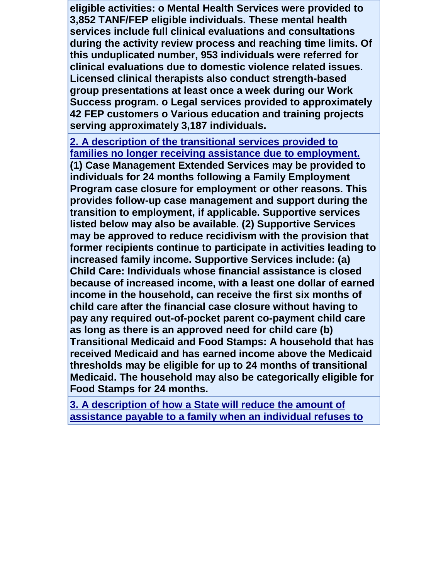**eligible activities: o Mental Health Services were provided to 3,852 TANF/FEP eligible individuals. These mental health services include full clinical evaluations and consultations during the activity review process and reaching time limits. Of this unduplicated number, 953 individuals were referred for clinical evaluations due to domestic violence related issues. Licensed clinical therapists also conduct strength-based group presentations at least once a week during our Work Success program. o Legal services provided to approximately 42 FEP customers o Various education and training projects serving approximately 3,187 individuals.**

**[2. A description of the transitional services provided to](javascript:alert()  [families no longer receiving assistance due to employment.](javascript:alert() (1) Case Management Extended Services may be provided to individuals for 24 months following a Family Employment Program case closure for employment or other reasons. This provides follow-up case management and support during the transition to employment, if applicable. Supportive services listed below may also be available. (2) Supportive Services may be approved to reduce recidivism with the provision that former recipients continue to participate in activities leading to increased family income. Supportive Services include: (a) Child Care: Individuals whose financial assistance is closed because of increased income, with a least one dollar of earned income in the household, can receive the first six months of child care after the financial case closure without having to pay any required out-of-pocket parent co-payment child care as long as there is an approved need for child care (b) Transitional Medicaid and Food Stamps: A household that has received Medicaid and has earned income above the Medicaid thresholds may be eligible for up to 24 months of transitional Medicaid. The household may also be categorically eligible for Food Stamps for 24 months.**

**[3. A description of how a State will reduce the amount of](javascript:alert()  [assistance payable to a family when an individual refuses to](javascript:alert()**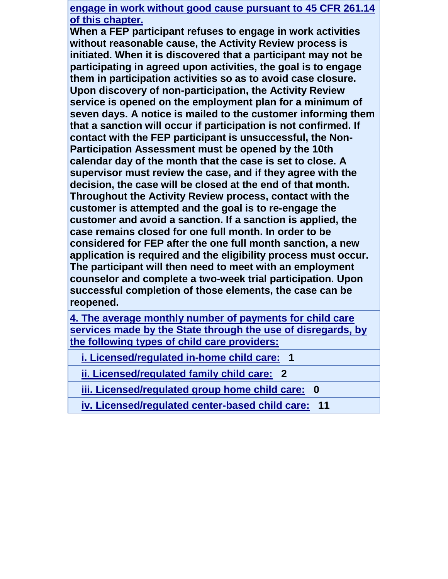**engage in work without good cause pursuant to 45 CFR 261.14 of this chapter.**

**When a FEP participant refuses to engage in work activities without reasonable cause, the Activity Review process is initiated. When it is discovered that a participant may not be participating in agreed upon activities, the goal is to engage them in participation activities so as to avoid case closure. Upon discovery of non-participation, the Activity Review service is opened on the employment plan for a minimum of seven days. A notice is mailed to the customer informing them that a sanction will occur if participation is not confirmed. If contact with the FEP participant is unsuccessful, the Non-Participation Assessment must be opened by the 10th calendar day of the month that the case is set to close. A supervisor must review the case, and if they agree with the decision, the case will be closed at the end of that month. Throughout the Activity Review process, contact with the customer is attempted and the goal is to re-engage the customer and avoid a sanction. If a sanction is applied, the case remains closed for one full month. In order to be considered for FEP after the one full month sanction, a new application is required and the eligibility process must occur. The participant will then need to meet with an employment counselor and complete a two-week trial participation. Upon successful completion of those elements, the case can be reopened.**

**[4. The average monthly number of payments for child care](javascript:alert()  [services made by the State through the use of disregards, by](javascript:alert()  [the following types of child care providers:](javascript:alert()**

 **[i. Licensed/regulated in-home child care:](javascript:alert() 1**

 **[ii. Licensed/regulated family child care:](javascript:alert() 2**

 **[iii. Licensed/regulated group home child care:](javascript:alert() 0**

 **[iv. Licensed/regulated center-based child care:](javascript:alert() 11**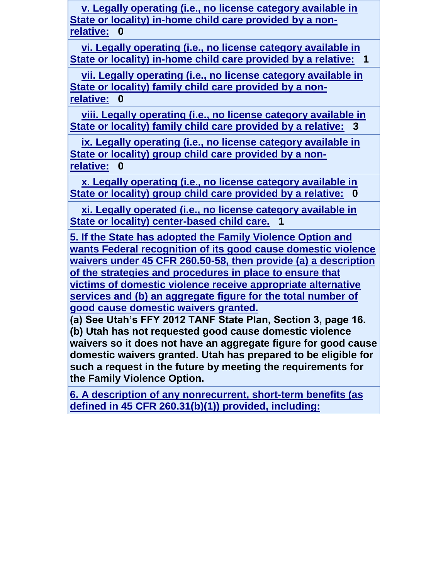**[v. Legally operating \(i.e., no license category available in](javascript:alert()  [State or locality\) in-home child care provided by a non](javascript:alert()[relative:](javascript:alert() 0**

 **vi. Legally operating [\(i.e., no license category available in](javascript:alert()  [State or locality\) in-home child care provided by a relative:](javascript:alert() 1**

 **[vii. Legally operating \(i.e., no license category available in](javascript:alert()  [State or locality\) family child care provided by a non](javascript:alert()[relative:](javascript:alert() 0**

 **[viii. Legally operating \(i.e., no license category available in](javascript:alert()  [State or locality\) family child care provided by a relative:](javascript:alert() 3**

 **[ix. Legally operating \(i.e., no license category available in](javascript:alert()  [State or locality\) group child care provided by a non](javascript:alert()[relative:](javascript:alert() 0**

 **[x. Legally operating \(i.e., no license category available in](javascript:alert()  [State or locality\) group child care provided by a](javascript:alert() relative: 0**

 **[xi. Legally operated \(i.e., no license category available in](javascript:alert()  [State or locality\) center-based child care.](javascript:alert() 1**

**[5. If the State has adopted the Family Violence Option and](javascript:alert()  [wants Federal recognition of its good cause domestic violence](javascript:alert()  [waivers under 45 CFR 260.50-58, then provide \(a\) a description](javascript:alert()  [of the strategies and procedures in place to ensure that](javascript:alert()  [victims of domestic violence receive appropriate alternative](javascript:alert()  [services and \(b\) an aggregate figure for the total number of](javascript:alert()  [good cause domestic waivers granted.](javascript:alert()**

**(a) See Utah's FFY 2012 TANF State Plan, Section 3, page 16. (b) Utah has not requested good cause domestic violence waivers so it does not have an aggregate figure for good cause domestic waivers granted. Utah has prepared to be eligible for such a request in the future by meeting the requirements for the Family Violence Option.**

**[6. A description of any nonrecurrent, short-term benefits \(as](javascript:alert()  [defined in 45 CFR 260.31\(b\)\(1\)\) provided, including:](javascript:alert()**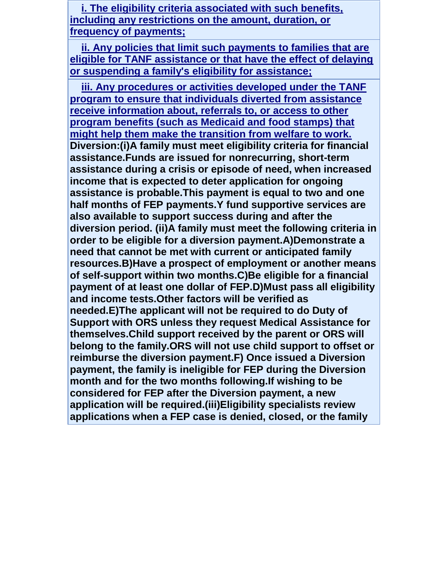**[i. The eligibility criteria associated with such benefits,](javascript:alert()  [including any restrictions on the amount, duration, or](javascript:alert()  [frequency of payments;](javascript:alert()**

 **[ii. Any policies that limit such payments to families that are](javascript:alert()  eligible for [TANF assistance or that have the effect of delaying](javascript:alert()  [or suspending a family's eligibility for assistance;](javascript:alert()**

 **[iii. Any procedures or activities developed under the TANF](javascript:alert()  [program to ensure that individuals diverted from assistance](javascript:alert()  [receive information about, referrals to, or access to other](javascript:alert()  [program benefits \(such as Medicaid and food stamps\) that](javascript:alert()  [might help them make the transition from welfare to work.](javascript:alert() Diversion:(i)A family must meet eligibility criteria for financial assistance.Funds are issued for nonrecurring, short-term assistance during a crisis or episode of need, when increased income that is expected to deter application for ongoing assistance is probable.This payment is equal to two and one half months of FEP payments.Y fund supportive services are also available to support success during and after the diversion period. (ii)A family must meet the following criteria in order to be eligible for a diversion payment.A)Demonstrate a need that cannot be met with current or anticipated family resources.B)Have a prospect of employment or another means of self-support within two months.C)Be eligible for a financial payment of at least one dollar of FEP.D)Must pass all eligibility and income tests.Other factors will be verified as needed.E)The applicant will not be required to do Duty of Support with ORS unless they request Medical Assistance for themselves.Child support received by the parent or ORS will belong to the family.ORS will not use child support to offset or reimburse the diversion payment.F) Once issued a Diversion payment, the family is ineligible for FEP during the Diversion month and for the two months following.If wishing to be considered for FEP after the Diversion payment, a new application will be required.(iii)Eligibility specialists review applications when a FEP case is denied, closed, or the family**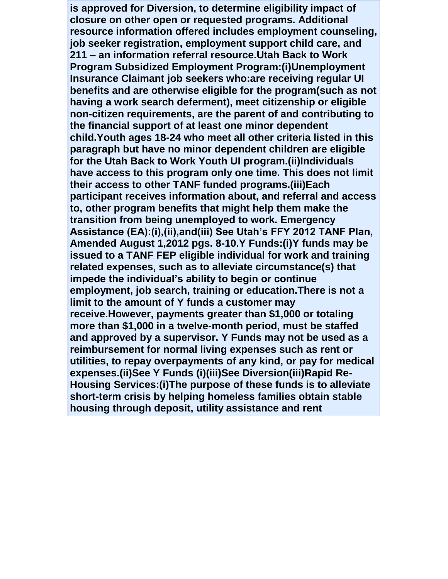**is approved for Diversion, to determine eligibility impact of closure on other open or requested programs. Additional resource information offered includes employment counseling, job seeker registration, employment support child care, and 211 – an information referral resource.Utah Back to Work Program Subsidized Employment Program:(i)Unemployment Insurance Claimant job seekers who:are receiving regular UI benefits and are otherwise eligible for the program(such as not having a work search deferment), meet citizenship or eligible non-citizen requirements, are the parent of and contributing to the financial support of at least one minor dependent child.Youth ages 18-24 who meet all other criteria listed in this paragraph but have no minor dependent children are eligible for the Utah Back to Work Youth UI program.(ii)Individuals have access to this program only one time. This does not limit their access to other TANF funded programs.(iii)Each participant receives information about, and referral and access to, other program benefits that might help them make the transition from being unemployed to work. Emergency Assistance (EA):(i),(ii),and(iii) See Utah's FFY 2012 TANF Plan, Amended August 1,2012 pgs. 8-10.Y Funds:(i)Y funds may be issued to a TANF FEP eligible individual for work and training related expenses, such as to alleviate circumstance(s) that impede the individual's ability to begin or continue employment, job search, training or education.There is not a limit to the amount of Y funds a customer may receive.However, payments greater than \$1,000 or totaling more than \$1,000 in a twelve-month period, must be staffed and approved by a supervisor. Y Funds may not be used as a reimbursement for normal living expenses such as rent or utilities, to repay overpayments of any kind, or pay for medical expenses.(ii)See Y Funds (i)(iii)See Diversion(iii)Rapid Re-Housing Services:(i)The purpose of these funds is to alleviate short-term crisis by helping homeless families obtain stable housing through deposit, utility assistance and rent**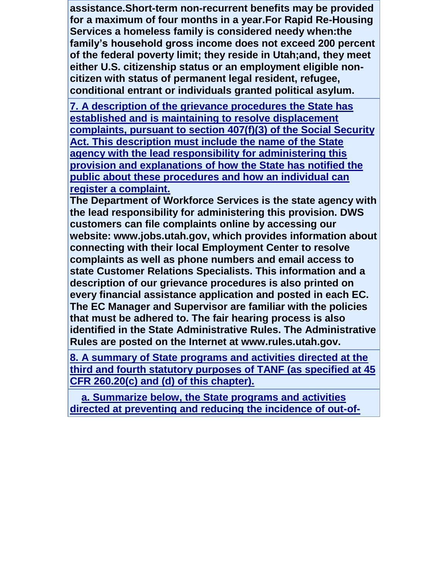**assistance.Short-term non-recurrent benefits may be provided for a maximum of four months in a year.For Rapid Re-Housing Services a homeless family is considered needy when:the family's household gross income does not exceed 200 percent of the federal poverty limit; they reside in Utah;and, they meet either U.S. citizenship status or an employment eligible noncitizen with status of permanent legal resident, refugee, conditional entrant or individuals granted political asylum.**

**[7. A description of the grievance procedures the State has](javascript:alert()  [established and is maintaining to resolve displacement](javascript:alert()  [complaints, pursuant to section 407\(f\)\(3\) of the Social Security](javascript:alert()  [Act. This description must include the name of the State](javascript:alert()  [agency with the lead responsibility for administering this](javascript:alert()  [provision and explanations of how the State has notified the](javascript:alert()  [public about these procedures and how an individual can](javascript:alert()  [register a complaint.](javascript:alert()**

**The Department of Workforce Services is the state agency with the lead responsibility for administering this provision. DWS customers can file complaints online by accessing our website: www.jobs.utah.gov, which provides information about connecting with their local Employment Center to resolve complaints as well as phone numbers and email access to state Customer Relations Specialists. This information and a description of our grievance procedures is also printed on every financial assistance application and posted in each EC. The EC Manager and Supervisor are familiar with the policies that must be adhered to. The fair hearing process is also identified in the State Administrative Rules. The Administrative Rules are posted on the Internet at www.rules.utah.gov.**

**[8. A summary of State programs and activities directed at the](javascript:alert()  [third and fourth statutory purposes of TANF \(as specified at 45](javascript:alert()  [CFR 260.20\(c\) and \(d\) of this chapter\).](javascript:alert()**

 **[a. Summarize below, the State programs and activities](javascript:alert()  [directed at preventing and reducing the incidence of out-of-](javascript:alert()**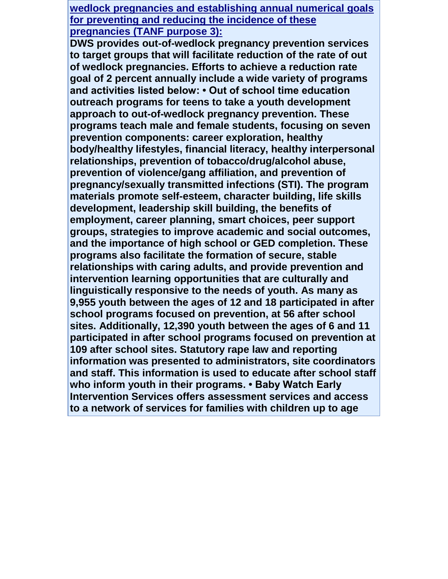**wedlock pregnancies and establishing annual numerical goals for preventing and reducing the incidence of these pregnancies (TANF purpose 3):**

**DWS provides out-of-wedlock pregnancy prevention services to target groups that will facilitate reduction of the rate of out of wedlock pregnancies. Efforts to achieve a reduction rate goal of 2 percent annually include a wide variety of programs and activities listed below: • Out of school time education outreach programs for teens to take a youth development approach to out-of-wedlock pregnancy prevention. These programs teach male and female students, focusing on seven prevention components: career exploration, healthy body/healthy lifestyles, financial literacy, healthy interpersonal relationships, prevention of tobacco/drug/alcohol abuse, prevention of violence/gang affiliation, and prevention of pregnancy/sexually transmitted infections (STI). The program materials promote self-esteem, character building, life skills development, leadership skill building, the benefits of employment, career planning, smart choices, peer support groups, strategies to improve academic and social outcomes, and the importance of high school or GED completion. These programs also facilitate the formation of secure, stable relationships with caring adults, and provide prevention and intervention learning opportunities that are culturally and linguistically responsive to the needs of youth. As many as 9,955 youth between the ages of 12 and 18 participated in after school programs focused on prevention, at 56 after school sites. Additionally, 12,390 youth between the ages of 6 and 11 participated in after school programs focused on prevention at 109 after school sites. Statutory rape law and reporting information was presented to administrators, site coordinators and staff. This information is used to educate after school staff who inform youth in their programs. • Baby Watch Early Intervention Services offers assessment services and access to a network of services for families with children up to age**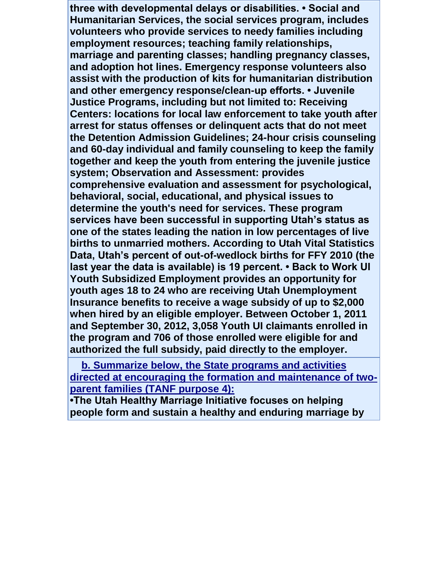**three with developmental delays or disabilities. • Social and Humanitarian Services, the social services program, includes volunteers who provide services to needy families including employment resources; teaching family relationships, marriage and parenting classes; handling pregnancy classes, and adoption hot lines. Emergency response volunteers also assist with the production of kits for humanitarian distribution and other emergency response/clean-up efforts. • Juvenile Justice Programs, including but not limited to: Receiving Centers: locations for local law enforcement to take youth after arrest for status offenses or delinquent acts that do not meet the Detention Admission Guidelines; 24-hour crisis counseling and 60-day individual and family counseling to keep the family together and keep the youth from entering the juvenile justice system; Observation and Assessment: provides comprehensive evaluation and assessment for psychological, behavioral, social, educational, and physical issues to determine the youth's need for services. These program services have been successful in supporting Utah's status as one of the states leading the nation in low percentages of live births to unmarried mothers. According to Utah Vital Statistics Data, Utah's percent of out-of-wedlock births for FFY 2010 (the last year the data is available) is 19 percent. • Back to Work UI Youth Subsidized Employment provides an opportunity for youth ages 18 to 24 who are receiving Utah Unemployment Insurance benefits to receive a wage subsidy of up to \$2,000 when hired by an eligible employer. Between October 1, 2011 and September 30, 2012, 3,058 Youth UI claimants enrolled in the program and 706 of those enrolled were eligible for and authorized the full subsidy, paid directly to the employer.**

 **[b. Summarize below, the State programs and activities](javascript:alert()  [directed at encouraging the formation and maintenance of two](javascript:alert()[parent families \(TANF purpose 4\):](javascript:alert()**

**•The Utah Healthy Marriage Initiative focuses on helping people form and sustain a healthy and enduring marriage by**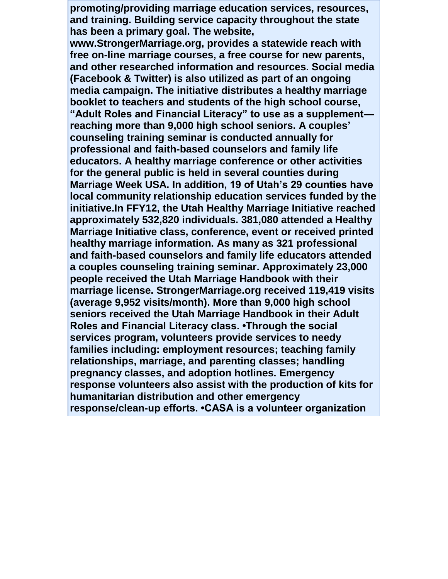**promoting/providing marriage education services, resources, and training. Building service capacity throughout the state has been a primary goal. The website,** 

**www.StrongerMarriage.org, provides a statewide reach with free on-line marriage courses, a free course for new parents, and other researched information and resources. Social media (Facebook & Twitter) is also utilized as part of an ongoing media campaign. The initiative distributes a healthy marriage booklet to teachers and students of the high school course, "Adult Roles and Financial Literacy" to use as a supplement reaching more than 9,000 high school seniors. A couples' counseling training seminar is conducted annually for professional and faith-based counselors and family life educators. A healthy marriage conference or other activities for the general public is held in several counties during Marriage Week USA. In addition, 19 of Utah's 29 counties have local community relationship education services funded by the initiative.In FFY12, the Utah Healthy Marriage Initiative reached approximately 532,820 individuals. 381,080 attended a Healthy Marriage Initiative class, conference, event or received printed healthy marriage information. As many as 321 professional and faith-based counselors and family life educators attended a couples counseling training seminar. Approximately 23,000 people received the Utah Marriage Handbook with their marriage license. StrongerMarriage.org received 119,419 visits (average 9,952 visits/month). More than 9,000 high school seniors received the Utah Marriage Handbook in their Adult Roles and Financial Literacy class. •Through the social services program, volunteers provide services to needy families including: employment resources; teaching family relationships, marriage, and parenting classes; handling pregnancy classes, and adoption hotlines. Emergency response volunteers also assist with the production of kits for humanitarian distribution and other emergency response/clean-up efforts. •CASA is a volunteer organization**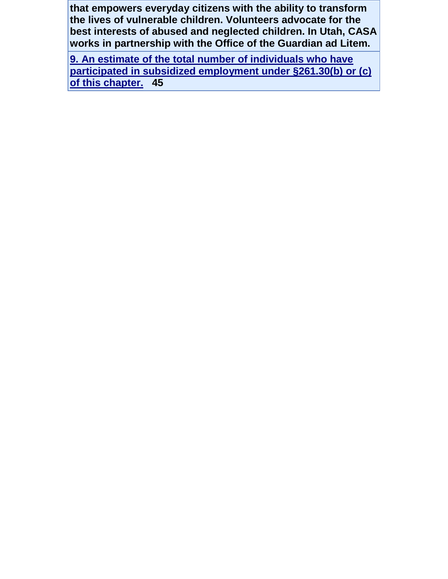**that empowers everyday citizens with the ability to transform the lives of vulnerable children. Volunteers advocate for the best interests of abused and neglected children. In Utah, CASA works in partnership with the Office of the Guardian ad Litem.**

**[9. An estimate of the total number of individuals who have](javascript:alert()  [participated in subsidized employment under §261.30\(b\) or \(c\)](javascript:alert()  [of this chapter.](javascript:alert() 45**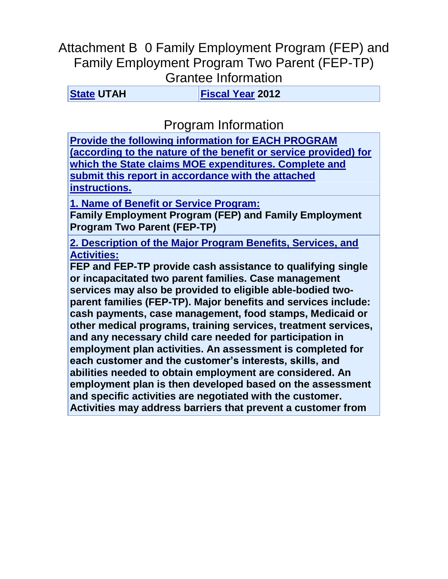## Attachment B 0 Family Employment Program (FEP) and Family Employment Program Two Parent (FEP-TP) Grantee Information

**[State](javascript:alert() UTAH [Fiscal Year](javascript:alert() 2012**

Program Information

**[Provide the following information for EACH PROGRAM](javascript:alert()  [\(according to the nature of the benefit or service provided\) for](javascript:alert()  [which the State claims MOE expenditures. Complete and](javascript:alert()  [submit this report in accordance with the attached](javascript:alert()  [instructions.](javascript:alert()**

**1. Name of Benefit or Service Program:**

**Family Employment Program (FEP) and Family Employment Program Two Parent (FEP-TP)**

**[2. Description of the Major Program Benefits, Services, and](javascript:alert()  [Activities:](javascript:alert()**

**FEP and FEP-TP provide cash assistance to qualifying single or incapacitated two parent families. Case management services may also be provided to eligible able-bodied twoparent families (FEP-TP). Major benefits and services include: cash payments, case management, food stamps, Medicaid or other medical programs, training services, treatment services, and any necessary child care needed for participation in employment plan activities. An assessment is completed for each customer and the customer's interests, skills, and abilities needed to obtain employment are considered. An employment plan is then developed based on the assessment and specific activities are negotiated with the customer. Activities may address barriers that prevent a customer from**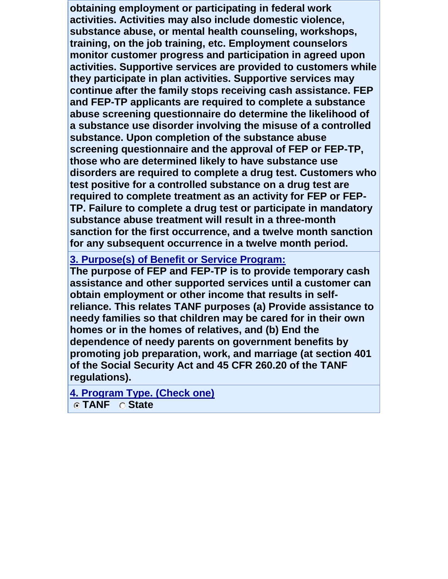**obtaining employment or participating in federal work activities. Activities may also include domestic violence, substance abuse, or mental health counseling, workshops, training, on the job training, etc. Employment counselors monitor customer progress and participation in agreed upon activities. Supportive services are provided to customers while they participate in plan activities. Supportive services may continue after the family stops receiving cash assistance. FEP and FEP-TP applicants are required to complete a substance abuse screening questionnaire do determine the likelihood of a substance use disorder involving the misuse of a controlled substance. Upon completion of the substance abuse screening questionnaire and the approval of FEP or FEP-TP, those who are determined likely to have substance use disorders are required to complete a drug test. Customers who test positive for a controlled substance on a drug test are required to complete treatment as an activity for FEP or FEP-TP. Failure to complete a drug test or participate in mandatory substance abuse treatment will result in a three-month sanction for the first occurrence, and a twelve month sanction for any subsequent occurrence in a twelve month period.**

#### **[3. Purpose\(s\) of Benefit or Service Program:](javascript:alert()**

**The purpose of FEP and FEP-TP is to provide temporary cash assistance and other supported services until a customer can obtain employment or other income that results in selfreliance. This relates TANF purposes (a) Provide assistance to needy families so that children may be cared for in their own homes or in the homes of relatives, and (b) End the dependence of needy parents on government benefits by promoting job preparation, work, and marriage (at section 401 of the Social Security Act and 45 CFR 260.20 of the TANF regulations).**

**[4. Program Type. \(Check one\)](javascript:alert()**

**TANF State**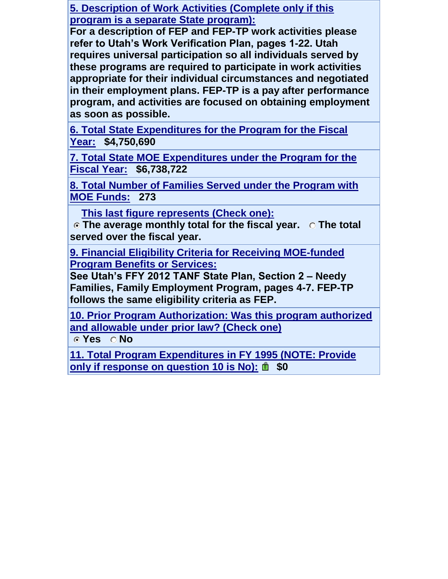**5. Description of Work Activities (Complete only if this program is a separate State program):**

**For a description of FEP and FEP-TP work activities please refer to Utah's Work Verification Plan, pages 1-22. Utah requires universal participation so all individuals served by these programs are required to participate in work activities appropriate for their individual circumstances and negotiated in their employment plans. FEP-TP is a pay after performance program, and activities are focused on obtaining employment as soon as possible.**

**[6. Total State Expenditures for the Program for the Fiscal](javascript:alert()  [Year:](javascript:alert() \$4,750,690**

**7. Total State MOE Expenditures under the Program for the Fiscal Year: \$6,738,722**

**8. Total Number of Families Served under the Program with MOE Funds: 273**

 **This last figure represents (Check one):**

**The average monthly total for the fiscal year. The total served over the fiscal year.** 

**9. Financial Eligibility Criteria for Receiving MOE-funded Program Benefits or Services:**

**See Utah's FFY 2012 TANF State Plan, Section 2 – Needy Families, Family Employment Program, pages 4-7. FEP-TP follows the same eligibility criteria as FEP.**

**[10. Prior Program Authorization: Was this program authorized](javascript:alert()  [and allowable under prior law? \(Check one\)](javascript:alert()**

**Yes No** 

**[11. Total Program Expenditures in FY 1995 \(NOTE: Provide](javascript:alert()  [only if response on question 10 is No\):](javascript:alert()** $\mathbb{D}$  \$0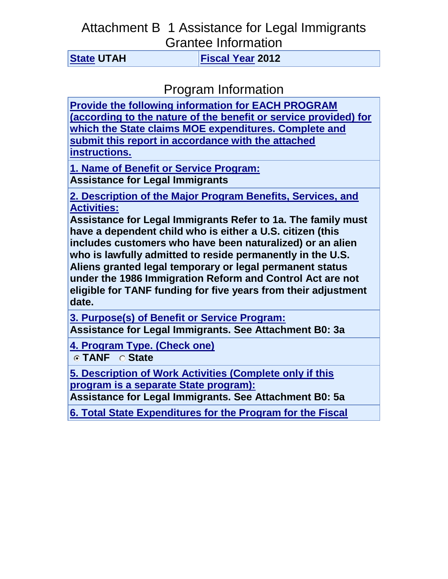## Attachment B 1 Assistance for Legal Immigrants Grantee Information

**[State](javascript:alert() UTAH [Fiscal Year](javascript:alert() 2012**

Program Information

**[Provide the following information for EACH PROGRAM](javascript:alert()  [\(according to the nature of the benefit or service provided\) for](javascript:alert()  [which the State claims MOE expenditures. Complete and](javascript:alert()  [submit this report in accordance with the attached](javascript:alert()  [instructions.](javascript:alert()**

**1. Name of Benefit or Service Program: Assistance for Legal Immigrants**

**[2. Description of the Major Program Benefits, Services, and](javascript:alert()  [Activities:](javascript:alert()**

**Assistance for Legal Immigrants Refer to 1a. The family must have a dependent child who is either a U.S. citizen (this includes customers who have been naturalized) or an alien who is lawfully admitted to reside permanently in the U.S. Aliens granted legal temporary or legal permanent status under the 1986 Immigration Reform and Control Act are not eligible for TANF funding for five years from their adjustment date.**

**[3. Purpose\(s\) of Benefit or Service Program:](javascript:alert() Assistance for Legal Immigrants. See Attachment B0: 3a**

**[4. Program Type. \(Check one\)](javascript:alert()**

**TANF State** 

**5. Description of Work Activities (Complete only if this program is a separate State program):**

**Assistance for Legal Immigrants. See Attachment B0: 5a**

**[6. Total State Expenditures for the Program for the Fiscal](javascript:alert()**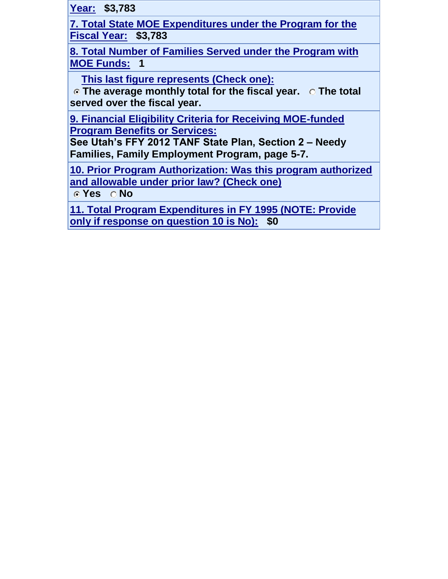**Year: \$3,783**

**7. Total State MOE Expenditures under the Program for the Fiscal Year: \$3,783**

**8. Total Number of Families Served under the Program with MOE Funds: 1**

 **This last figure represents (Check one):**

**The average monthly total for the fiscal year. The total served over the fiscal year.** 

**9. Financial Eligibility Criteria for Receiving MOE-funded Program Benefits or Services:**

**See Utah's FFY 2012 TANF State Plan, Section 2 – Needy Families, Family Employment Program, page 5-7.**

**[10. Prior Program Authorization: Was this program authorized](javascript:alert()  [and allowable under prior law? \(Check one\)](javascript:alert()**

**Yes No** 

**[11. Total Program Expenditures in FY 1995 \(NOTE: Provide](javascript:alert()  [only if response on question 10 is No\):](javascript:alert() \$0**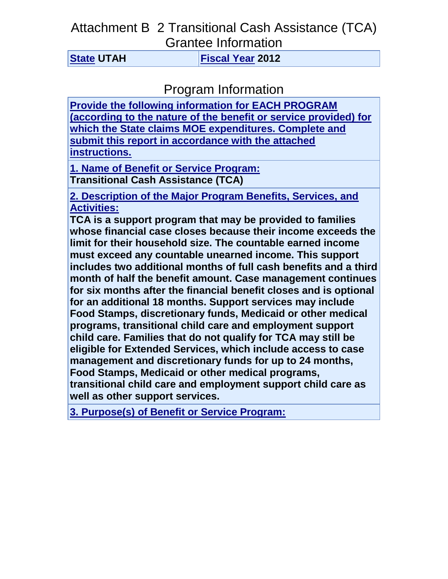### Attachment B 2 Transitional Cash Assistance (TCA) Grantee Information

**[State](javascript:alert() UTAH [Fiscal Year](javascript:alert() 2012**

Program Information

**[Provide the following information for EACH PROGRAM](javascript:alert()  [\(according to the nature of the benefit or service provided\) for](javascript:alert()  [which the State claims MOE expenditures. Complete and](javascript:alert()  [submit this report in accordance with the attached](javascript:alert()  [instructions.](javascript:alert()**

**1. Name of Benefit or Service Program: Transitional Cash Assistance (TCA)**

**[2. Description of the Major Program Benefits, Services, and](javascript:alert()  [Activities:](javascript:alert()**

**TCA is a support program that may be provided to families whose financial case closes because their income exceeds the limit for their household size. The countable earned income must exceed any countable unearned income. This support includes two additional months of full cash benefits and a third month of half the benefit amount. Case management continues for six months after the financial benefit closes and is optional for an additional 18 months. Support services may include Food Stamps, discretionary funds, Medicaid or other medical programs, transitional child care and employment support child care. Families that do not qualify for TCA may still be eligible for Extended Services, which include access to case management and discretionary funds for up to 24 months, Food Stamps, Medicaid or other medical programs, transitional child care and employment support child care as well as other support services.**

**[3. Purpose\(s\) of Benefit or Service Program:](javascript:alert()**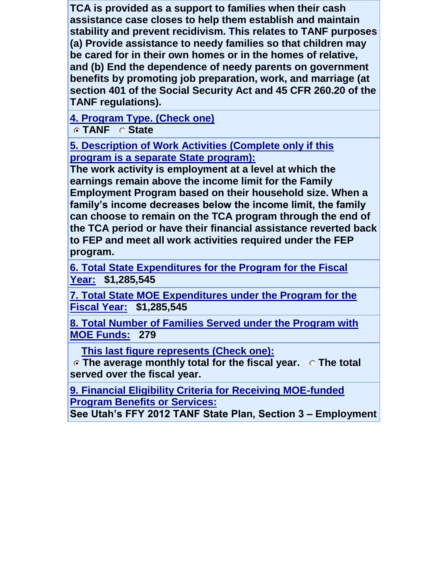**TCA is provided as a support to families when their cash assistance case closes to help them establish and maintain stability and prevent recidivism. This relates to TANF purposes (a) Provide assistance to needy families so that children may be cared for in their own homes or in the homes of relative, and (b) End the dependence of needy parents on government benefits by promoting job preparation, work, and marriage (at section 401 of the Social Security Act and 45 CFR 260.20 of the TANF regulations).**

**[4. Program Type. \(Check one\)](javascript:alert()**

**C** TANF C State

**5. Description of Work Activities (Complete only if this program is a separate State program):**

**The work activity is employment at a level at which the earnings remain above the income limit for the Family Employment Program based on their household size. When a family's income decreases below the income limit, the family can choose to remain on the TCA program through the end of the TCA period or have their financial assistance reverted back to FEP and meet all work activities required under the FEP program.**

**[6. Total State Expenditures for the Program for the Fiscal](javascript:alert()  [Year:](javascript:alert() \$1,285,545**

**7. Total State MOE Expenditures under the Program for the Fiscal Year: \$1,285,545**

**8. Total Number of Families Served under the Program with MOE Funds: 279**

 **This last figure represents (Check one):**

**The average monthly total for the fiscal year. The total served over the fiscal year.** 

**9. Financial Eligibility Criteria for Receiving MOE-funded Program Benefits or Services:**

**See Utah's FFY 2012 TANF State Plan, Section 3 – Employment**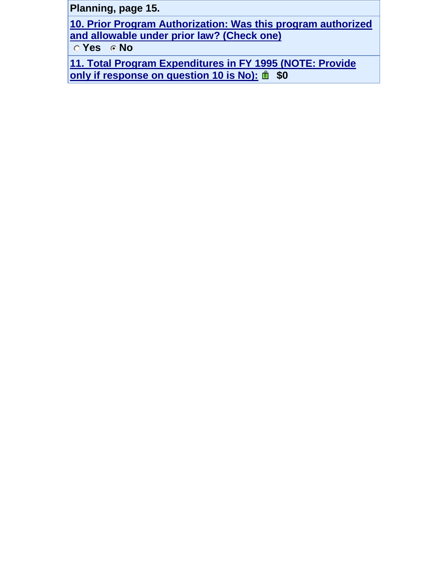**Planning, page 15.**

**[10. Prior Program Authorization: Was this program authorized](javascript:alert()  [and allowable under prior law? \(Check one\)](javascript:alert()**

**No**  $\overline{O}$  Yes  $\overline{O}$  No

**[11. Total Program Expenditures in FY 1995 \(NOTE: Provide](javascript:alert()  [only if response on question 10 is No\):](javascript:alert()** $\mathbf{\hat{m}}$  \$0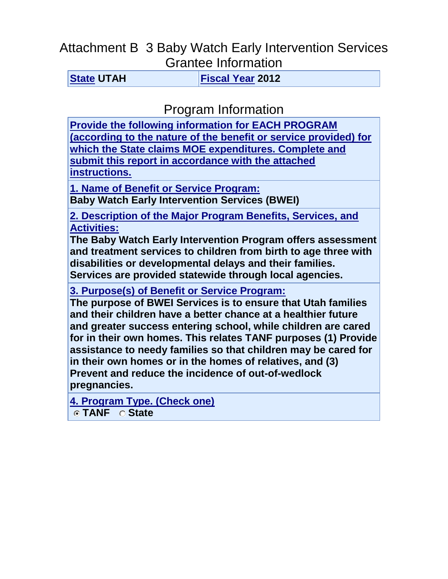## Attachment B 3 Baby Watch Early Intervention Services Grantee Information

**[State](javascript:alert() UTAH [Fiscal Year](javascript:alert() 2012**

Program Information

**[Provide the following information for EACH PROGRAM](javascript:alert()  [\(according to the nature of the benefit or service provided\) for](javascript:alert()  [which the State claims MOE expenditures. Complete and](javascript:alert()  [submit this report in accordance with the attached](javascript:alert()  [instructions.](javascript:alert()**

**1. Name of Benefit or Service Program:**

**Baby Watch Early Intervention Services (BWEI)**

**[2. Description of the Major Program Benefits, Services, and](javascript:alert()  [Activities:](javascript:alert()**

**The Baby Watch Early Intervention Program offers assessment and treatment services to children from birth to age three with disabilities or developmental delays and their families. Services are provided statewide through local agencies.**

**[3. Purpose\(s\) of Benefit or Service Program:](javascript:alert()**

**The purpose of BWEI Services is to ensure that Utah families and their children have a better chance at a healthier future and greater success entering school, while children are cared for in their own homes. This relates TANF purposes (1) Provide assistance to needy families so that children may be cared for in their own homes or in the homes of relatives, and (3) Prevent and reduce the incidence of out-of-wedlock pregnancies.**

**[4. Program Type. \(Check one\)](javascript:alert()**

**TANF State**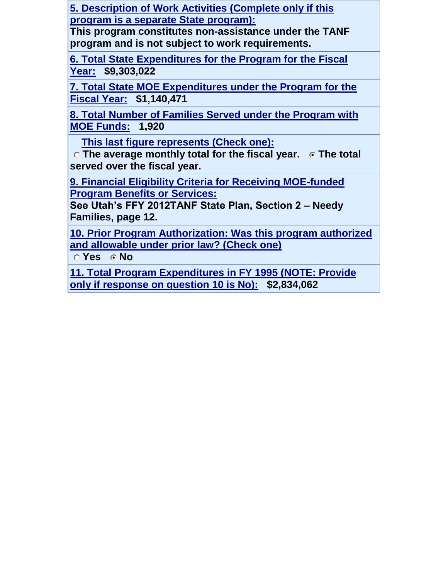**5. Description of Work Activities (Complete only if this program is a separate State program):**

**This program constitutes non-assistance under the TANF program and is not subject to work requirements.**

**[6. Total State Expenditures for the Program for the Fiscal](javascript:alert()  [Year:](javascript:alert() \$9,303,022**

**7. Total State MOE Expenditures under the Program for the Fiscal Year: \$1,140,471**

**8. Total Number of Families Served under the Program with MOE Funds: 1,920**

 **This last figure represents (Check one):**

**C** The average monthly total for the fiscal year. **C** The total **served over the fiscal year.** 

**9. Financial Eligibility Criteria for Receiving MOE-funded Program Benefits or Services:**

**See Utah's FFY 2012TANF State Plan, Section 2 – Needy Families, page 12.**

**[10. Prior Program Authorization: Was this program authorized](javascript:alert()  [and allowable under prior law? \(Check one\)](javascript:alert()**

**C** Yes **C** No

**[11. Total Program Expenditures in FY 1995 \(NOTE: Provide](javascript:alert()  [only if response on question 10 is No\):](javascript:alert() \$2,834,062**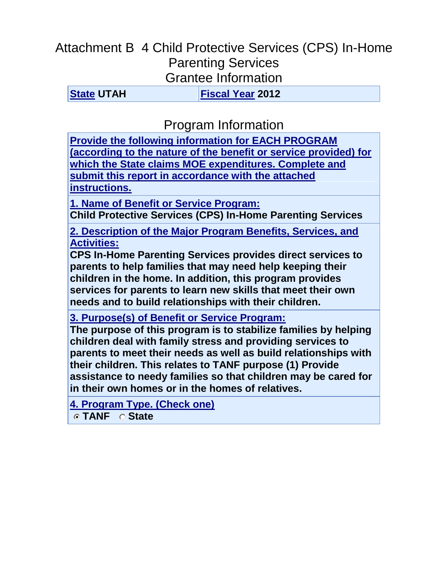# Attachment B 4 Child Protective Services (CPS) In-Home Parenting Services Grantee Information

**[State](javascript:alert() UTAH [Fiscal Year](javascript:alert() 2012**

Program Information

**[Provide the following information for EACH PROGRAM](javascript:alert()  [\(according to the nature of the benefit or service provided\) for](javascript:alert()  [which the State claims MOE expenditures. Complete and](javascript:alert()  [submit this report in accordance with the attached](javascript:alert()  [instructions.](javascript:alert()**

**1. Name of Benefit or Service Program:**

**Child Protective Services (CPS) In-Home Parenting Services**

**[2. Description of the Major Program Benefits, Services, and](javascript:alert()  [Activities:](javascript:alert()**

**CPS In-Home Parenting Services provides direct services to parents to help families that may need help keeping their children in the home. In addition, this program provides services for parents to learn new skills that meet their own needs and to build relationships with their children.**

**[3. Purpose\(s\) of Benefit or Service Program:](javascript:alert()**

**The purpose of this program is to stabilize families by helping children deal with family stress and providing services to parents to meet their needs as well as build relationships with their children. This relates to TANF purpose (1) Provide assistance to needy families so that children may be cared for in their own homes or in the homes of relatives.**

**[4. Program Type. \(Check one\)](javascript:alert() TANF State**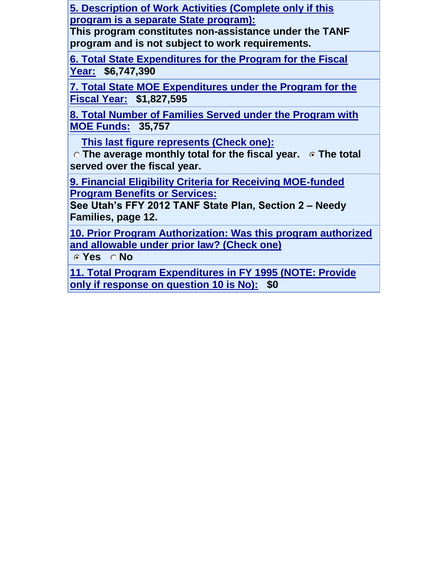**5. Description of Work Activities (Complete only if this program is a separate State program):**

**This program constitutes non-assistance under the TANF program and is not subject to work requirements.**

**[6. Total State Expenditures for the Program for the Fiscal](javascript:alert()  [Year:](javascript:alert() \$6,747,390**

**7. Total State MOE Expenditures under the Program for the Fiscal Year: \$1,827,595**

**8. Total Number of Families Served under the Program with MOE Funds: 35,757**

 **This last figure represents (Check one):**

**C** The average monthly total for the fiscal year. **C** The total **served over the fiscal year.** 

**9. Financial Eligibility Criteria for Receiving MOE-funded Program Benefits or Services:**

**See Utah's FFY 2012 TANF State Plan, Section 2 – Needy Families, page 12.**

**[10. Prior Program Authorization: Was this program authorized](javascript:alert()  [and allowable under prior law? \(Check one\)](javascript:alert()**

**Yes No** 

**[11. Total Program Expenditures in FY 1995 \(NOTE: Provide](javascript:alert()  [only if response on question 10 is No\):](javascript:alert() \$0**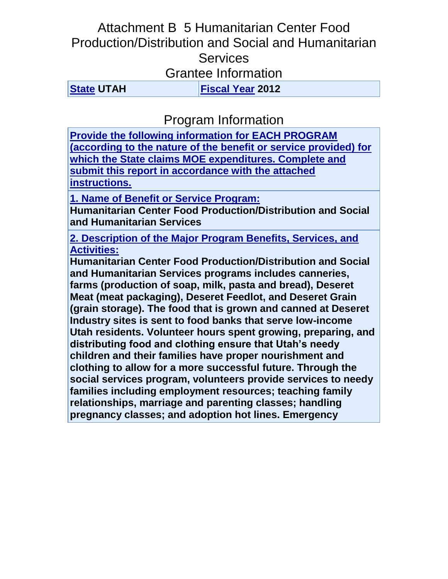## Attachment B 5 Humanitarian Center Food Production/Distribution and Social and Humanitarian **Services** Grantee Information

**[State](javascript:alert() UTAH [Fiscal Year](javascript:alert() 2012**

Program Information

**[Provide the following information for EACH PROGRAM](javascript:alert()  [\(according to the nature of the benefit or service provided\) for](javascript:alert()  [which the State claims MOE expenditures. Complete and](javascript:alert()  [submit this report in accordance with the attached](javascript:alert()  [instructions.](javascript:alert()**

**1. Name of Benefit or Service Program:**

**Humanitarian Center Food Production/Distribution and Social and Humanitarian Services**

**[2. Description of the Major Program Benefits, Services, and](javascript:alert()  [Activities:](javascript:alert()**

**Humanitarian Center Food Production/Distribution and Social and Humanitarian Services programs includes canneries, farms (production of soap, milk, pasta and bread), Deseret Meat (meat packaging), Deseret Feedlot, and Deseret Grain (grain storage). The food that is grown and canned at Deseret Industry sites is sent to food banks that serve low-income Utah residents. Volunteer hours spent growing, preparing, and distributing food and clothing ensure that Utah's needy children and their families have proper nourishment and clothing to allow for a more successful future. Through the social services program, volunteers provide services to needy families including employment resources; teaching family relationships, marriage and parenting classes; handling pregnancy classes; and adoption hot lines. Emergency**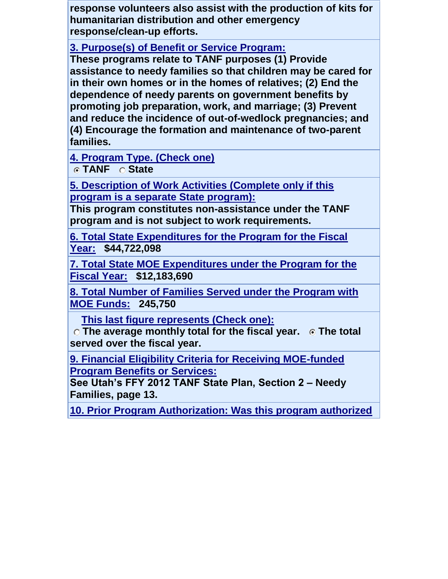**response volunteers also assist with the production of kits for humanitarian distribution and other emergency response/clean-up efforts.**

**[3. Purpose\(s\) of Benefit or Service Program:](javascript:alert()**

**These programs relate to TANF purposes (1) Provide assistance to needy families so that children may be cared for in their own homes or in the homes of relatives; (2) End the dependence of needy parents on government benefits by promoting job preparation, work, and marriage; (3) Prevent and reduce the incidence of out-of-wedlock pregnancies; and (4) Encourage the formation and maintenance of two-parent families.**

**[4. Program Type. \(Check one\)](javascript:alert()**

**TANF State** 

**5. Description of Work Activities (Complete only if this program is a separate State program):**

**This program constitutes non-assistance under the TANF program and is not subject to work requirements.**

**[6. Total State Expenditures for the Program for the Fiscal](javascript:alert()  [Year:](javascript:alert() \$44,722,098**

**7. Total State MOE Expenditures under the Program for the Fiscal Year: \$12,183,690**

**8. Total Number of Families Served under the Program with MOE Funds: 245,750**

 **This last figure represents (Check one):**

**C** The average monthly total for the fiscal year. **C** The total **served over the fiscal year.** 

**9. Financial Eligibility Criteria for Receiving MOE-funded Program Benefits or Services:**

**See Utah's FFY 2012 TANF State Plan, Section 2 – Needy Families, page 13.**

**[10. Prior Program Authorization: Was this program authorized](javascript:alert()**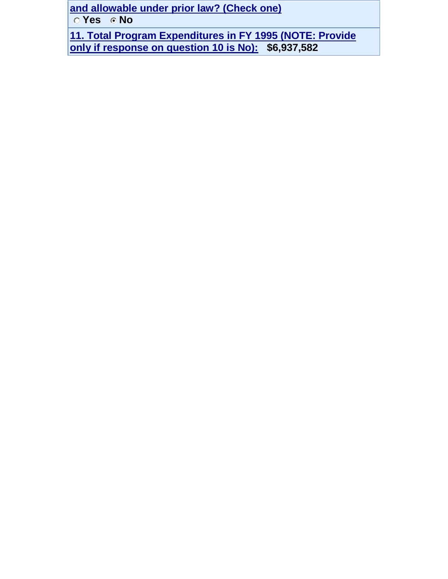**and allowable under prior law? (Check one)**

**Yes Mo** 

**[11. Total Program Expenditures in FY 1995 \(NOTE: Provide](javascript:alert()  [only if response on question 10 is No\):](javascript:alert() \$6,937,582**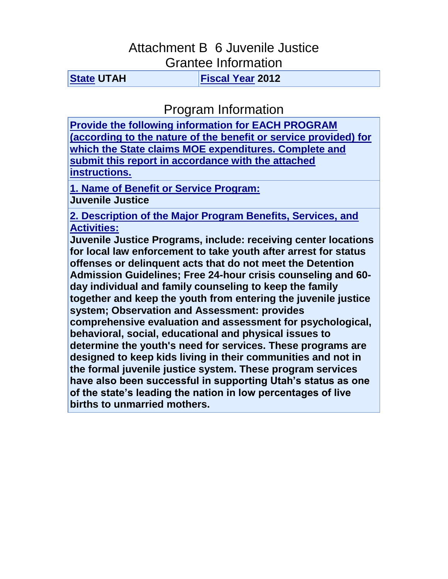### Attachment B 6 Juvenile Justice Grantee Information

**[State](javascript:alert() UTAH [Fiscal Year](javascript:alert() 2012**

Program Information

**[Provide the following information for EACH PROGRAM](javascript:alert()  [\(according to the nature of the benefit or service provided\) for](javascript:alert()  [which the State claims MOE expenditures. Complete and](javascript:alert()  [submit this report in accordance with the attached](javascript:alert()  [instructions.](javascript:alert()**

**1. Name of Benefit or Service Program: Juvenile Justice**

**[2. Description of the Major Program Benefits, Services, and](javascript:alert()  [Activities:](javascript:alert()**

**Juvenile Justice Programs, include: receiving center locations for local law enforcement to take youth after arrest for status offenses or delinquent acts that do not meet the Detention Admission Guidelines; Free 24-hour crisis counseling and 60 day individual and family counseling to keep the family together and keep the youth from entering the juvenile justice system; Observation and Assessment: provides comprehensive evaluation and assessment for psychological, behavioral, social, educational and physical issues to determine the youth's need for services. These programs are designed to keep kids living in their communities and not in the formal juvenile justice system. These program services have also been successful in supporting Utah's status as one of the state's leading the nation in low percentages of live births to unmarried mothers.**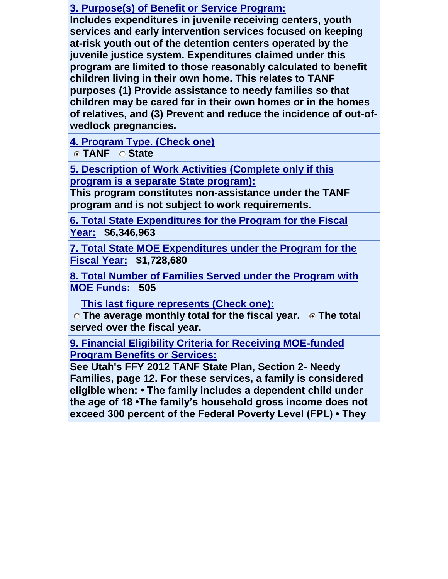### **[3. Purpose\(s\) of Benefit or Service Program:](javascript:alert()**

**Includes expenditures in juvenile receiving centers, youth services and early intervention services focused on keeping at-risk youth out of the detention centers operated by the juvenile justice system. Expenditures claimed under this program are limited to those reasonably calculated to benefit children living in their own home. This relates to TANF purposes (1) Provide assistance to needy families so that children may be cared for in their own homes or in the homes of relatives, and (3) Prevent and reduce the incidence of out-ofwedlock pregnancies.**

**[4. Program Type. \(Check one\)](javascript:alert()**

**TANF State** 

**5. Description of Work Activities (Complete only if this program is a separate State program):**

**This program constitutes non-assistance under the TANF program and is not subject to work requirements.**

**[6. Total State Expenditures for the Program for the Fiscal](javascript:alert()  [Year:](javascript:alert() \$6,346,963**

**7. Total State MOE Expenditures under the Program for the Fiscal Year: \$1,728,680**

**8. Total Number of Families Served under the Program with MOE Funds: 505**

 **This last figure represents (Check one):**

**C** The average monthly total for the fiscal year. **C** The total **served over the fiscal year.** 

**9. Financial Eligibility Criteria for Receiving MOE-funded Program Benefits or Services:**

**See Utah's FFY 2012 TANF State Plan, Section 2- Needy Families, page 12. For these services, a family is considered eligible when: • The family includes a dependent child under the age of 18 •The family's household gross income does not exceed 300 percent of the Federal Poverty Level (FPL) • They**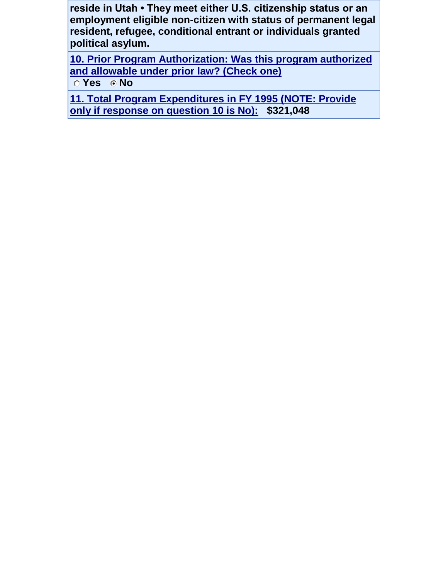**reside in Utah • They meet either U.S. citizenship status or an employment eligible non-citizen with status of permanent legal resident, refugee, conditional entrant or individuals granted political asylum.**

**[10. Prior Program Authorization: Was this program authorized](javascript:alert()  [and allowable under prior law? \(Check one\)](javascript:alert() C** Yes **C** No

**[11. Total Program Expenditures in FY 1995 \(NOTE: Provide](javascript:alert()  [only if response on question 10 is No\):](javascript:alert() \$321,048**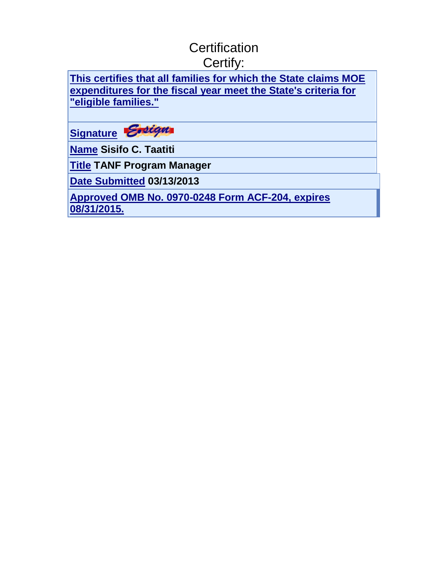# **Certification** Certify:

**This certifies that all [families for which the State claims MOE](javascript:alert()  [expenditures for the fiscal year meet the State's criteria for](javascript:alert()  ["eligible families."](javascript:alert()** 



**[Name](javascript:alert() Sisifo C. Taatiti**

**[Title](javascript:alert() TANF Program Manager**

**[Date Submitted](javascript:alert() 03/13/2013**

**[Approved OMB No. 0970-0248 Form ACF-204, expires](javascript:alert()  [08/31/2015.](javascript:alert()**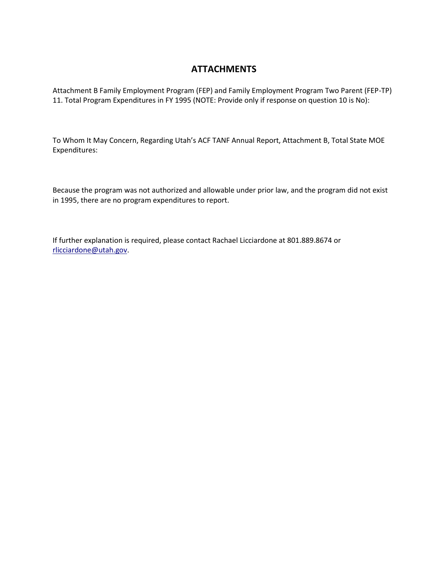#### **ATTACHMENTS**

Attachment B Family Employment Program (FEP) and Family Employment Program Two Parent (FEP-TP) 11. Total Program Expenditures in FY 1995 (NOTE: Provide only if response on question 10 is No):

To Whom It May Concern, Regarding Utah's ACF TANF Annual Report, Attachment B, Total State MOE Expenditures:

Because the program was not authorized and allowable under prior law, and the program did not exist in 1995, there are no program expenditures to report.

If further explanation is required, please contact Rachael Licciardone at 801.889.8674 or [rlicciardone@utah.gov.](mailto:rlicciardone@utah.gov)